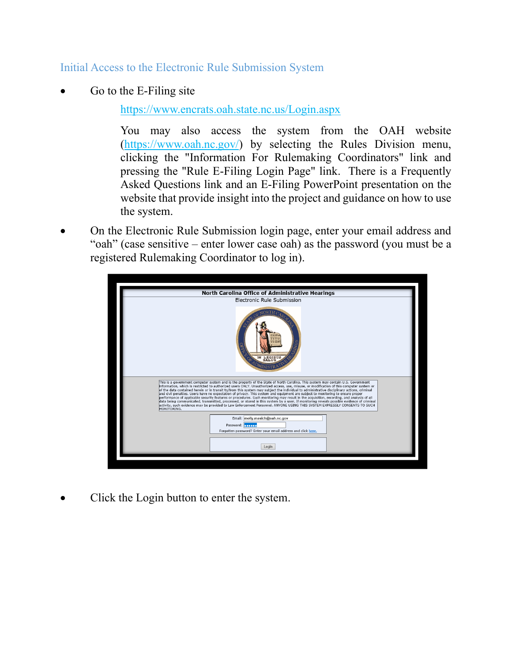Initial Access to the Electronic Rule Submission System

Go to the E-Filing site

<https://www.encrats.oah.state.nc.us/Login.aspx>

You may also access the system from the OAH website [\(https://www.oah.nc.gov/\)](https://www.oah.nc.gov/) by selecting the Rules Division menu, clicking the "Information For Rulemaking Coordinators" link and pressing the "Rule E-Filing Login Page" link. There is a Frequently Asked Questions link and an E-Filing PowerPoint presentation on the website that provide insight into the project and guidance on how to use the system.

• On the Electronic Rule Submission login page, enter your email address and "oah" (case sensitive – enter lower case oah) as the password (you must be a registered Rulemaking Coordinator to log in).



Click the Login button to enter the system.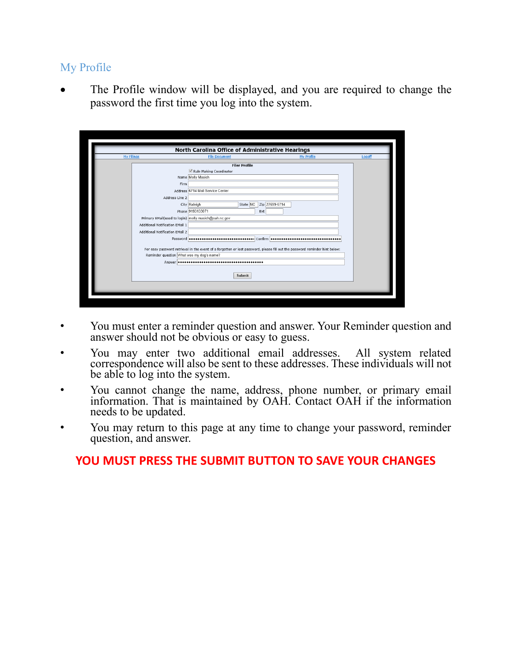## My Profile

The Profile window will be displayed, and you are required to change the password the first time you log into the system.

| <b>My Filings</b>               | <b>File Document</b>                                 | My Profile                                                                                                                  | Logoff |
|---------------------------------|------------------------------------------------------|-----------------------------------------------------------------------------------------------------------------------------|--------|
|                                 |                                                      | <b>Filer Profile</b>                                                                                                        |        |
|                                 | Rule Making Coordinator                              |                                                                                                                             |        |
|                                 | Name Molly Masich                                    |                                                                                                                             |        |
|                                 | Firm                                                 |                                                                                                                             |        |
|                                 | Address 6714 Mail Service Center                     |                                                                                                                             |        |
|                                 | Address Line 2                                       |                                                                                                                             |        |
|                                 | City Raleigh                                         | Zip 27699-6714<br>State NC                                                                                                  |        |
|                                 | Phone 9193133071                                     | Ext                                                                                                                         |        |
|                                 | Primary EMail(used to login) molly masich@oah.nc.gov |                                                                                                                             |        |
| Additional Notification EMail 1 |                                                      |                                                                                                                             |        |
| Additional Notification EMail 2 |                                                      |                                                                                                                             |        |
|                                 | Password <b></b> Confirm <b></b>                     |                                                                                                                             |        |
|                                 |                                                      | For easy password retrieval in the event of a forgotten or lost password, please fill out the password reminder hint below: |        |
|                                 | Reminder question What was my dog's name?            |                                                                                                                             |        |
|                                 |                                                      |                                                                                                                             |        |
|                                 |                                                      |                                                                                                                             |        |
|                                 |                                                      | Submit                                                                                                                      |        |
|                                 |                                                      |                                                                                                                             |        |

- You must enter a reminder question and answer. Your Reminder question and answer should not be obvious or easy to guess.
- You may enter two additional email addresses. All system related correspondence will also be sent to these addresses. These individuals will not be able to log into the system.
- You cannot change the name, address, phone number, or primary email information. That is maintained by OAH. Contact OAH if the information needs to be updated.
- You may return to this page at any time to change your password, reminder question, and answer.

## **YOU MUST PRESS THE SUBMIT BUTTON TO SAVE YOUR CHANGES**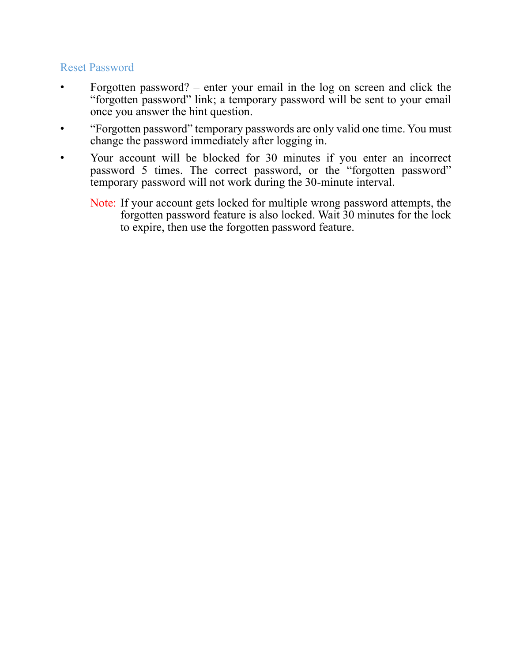## Reset Password

- Forgotten password? enter your email in the log on screen and click the "forgotten password" link; a temporary password will be sent to your email once you answer the hint question.
- "Forgotten password" temporary passwords are only valid one time. You must change the password immediately after logging in.
- Your account will be blocked for 30 minutes if you enter an incorrect password 5 times. The correct password, or the "forgotten password" temporary password will not work during the 30-minute interval.
	- Note: If your account gets locked for multiple wrong password attempts, the forgotten password feature is also locked. Wait 30 minutes for the lock to expire, then use the forgotten password feature.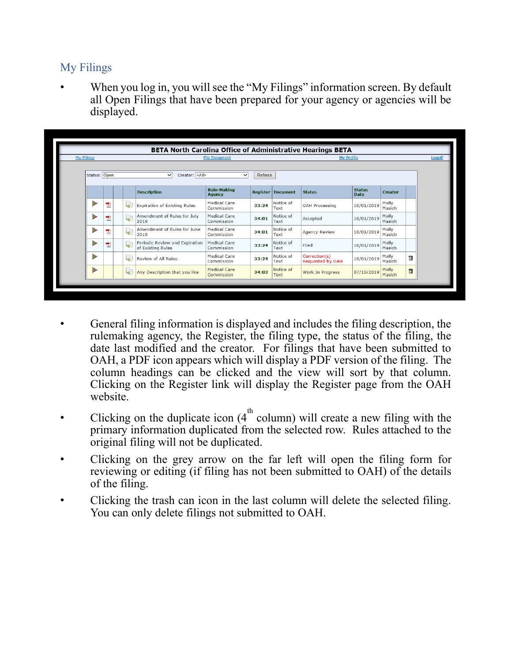## My Filings

When you log in, you will see the "My Filings" information screen. By default all Open Filings that have been prepared for your agency or agencies will be displayed.

| <b>My Filings</b> | <b>My Profile</b><br><b>File Document</b>                                                                |                          |                                                     |                                     |       |                          |                                          |                              |                 |   |  |  |
|-------------------|----------------------------------------------------------------------------------------------------------|--------------------------|-----------------------------------------------------|-------------------------------------|-------|--------------------------|------------------------------------------|------------------------------|-----------------|---|--|--|
|                   | Status: Open<br>Creator: <all><br/>Refresh<br/><math>\checkmark</math><br/><math>\checkmark</math></all> |                          |                                                     |                                     |       |                          |                                          |                              |                 |   |  |  |
|                   |                                                                                                          |                          | <b>Description</b>                                  | <b>Rule-Making</b><br><b>Agency</b> |       | <b>Register Document</b> | <b>Status</b>                            | <b>Status</b><br><b>Date</b> | <b>Creator</b>  |   |  |  |
| $\triangleright$  | 我                                                                                                        | $\overline{\mathbf{w}}$  | Expiration of Existing Rules                        | Medical Care<br>Commission          | 33:24 | Notice of<br>Text        | OAH Processing                           | 10/01/2019                   | Molly<br>Masich |   |  |  |
| $\triangleright$  | 尹                                                                                                        | 4                        | Amendment of Rules for July<br>2019                 | Medical Care<br>Commission          | 34:01 | Notice of<br>Text        | Accepted                                 | 10/01/2019                   | Molly<br>Masich |   |  |  |
| $\Rightarrow$     | 尹                                                                                                        | 4                        | Amendment of Rules for June<br>2019                 | Medical Care<br>Commission          | 34:01 | Notice of<br>Text        | Agency Review                            | 10/01/2019                   | Molly<br>Masich |   |  |  |
| Þ                 | 퀏                                                                                                        | ىيا                      | Periodic Review and Expiration<br>of Existing Rules | Medical Care<br>Commission          | 33:24 | Notice of<br>Text        | Filed                                    | 10/01/2019                   | Molly<br>Masich |   |  |  |
| D                 |                                                                                                          | $\overline{\phantom{a}}$ | Review of All Rules                                 | Medical Care<br>Commission          | 33:24 | Notice of<br>Text        | Correction(s)<br><b>Requested by OAH</b> | 10/01/2019                   | Molly<br>Masich | û |  |  |
| $\triangleright$  |                                                                                                          | $\blacktriangleright$    | Any Description that you like                       | <b>Medical Care</b><br>Commission   | 34:03 | Notice of<br>Text        | Work In Progress                         | 07/10/2019                   | Molly<br>Masich | 面 |  |  |

- General filing information is displayed and includes the filing description, the rulemaking agency, the Register, the filing type, the status of the filing, the date last modified and the creator. For filings that have been submitted to OAH, a PDF icon appears which will display a PDF version of the filing. The column headings can be clicked and the view will sort by that column. Clicking on the Register link will display the Register page from the OAH website.
- Clicking on the duplicate icon  $(4^{\text{th}}$  column) will create a new filing with the primary information duplicated from the selected row. Rules attached to the original filing will not be duplicated.
- Clicking on the grey arrow on the far left will open the filing form for reviewing or editing (if filing has not been submitted to OAH) of the details of the filing.
- Clicking the trash can icon in the last column will delete the selected filing. You can only delete filings not submitted to OAH.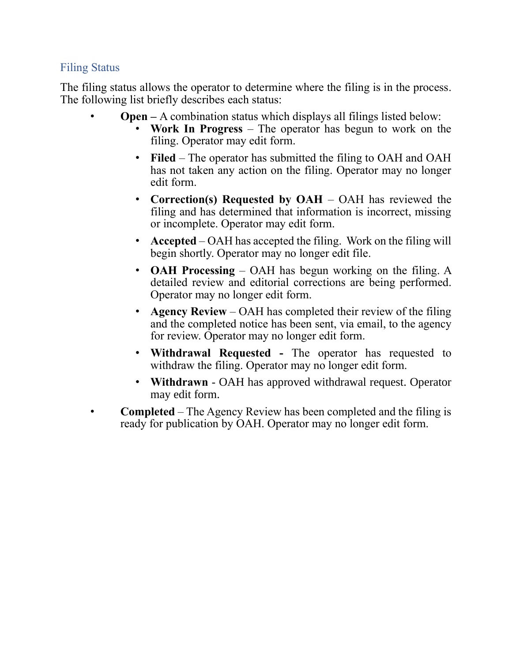## Filing Status

The filing status allows the operator to determine where the filing is in the process. The following list briefly describes each status:

- **Open –** A combination status which displays all filings listed below:
	- **Work In Progress**  The operator has begun to work on the filing. Operator may edit form.
	- **Filed** The operator has submitted the filing to OAH and OAH has not taken any action on the filing. Operator may no longer edit form.
	- **Correction(s) Requested by OAH**  OAH has reviewed the filing and has determined that information is incorrect, missing or incomplete. Operator may edit form.
	- **Accepted** OAH has accepted the filing. Work on the filing will begin shortly. Operator may no longer edit file.
	- **OAH Processing**  OAH has begun working on the filing. A detailed review and editorial corrections are being performed. Operator may no longer edit form.
	- **Agency Review** OAH has completed their review of the filing and the completed notice has been sent, via email, to the agency for review. Operator may no longer edit form.
	- **Withdrawal Requested -** The operator has requested to withdraw the filing. Operator may no longer edit form.
	- **Withdrawn**  OAH has approved withdrawal request. Operator may edit form.
- **Completed** The Agency Review has been completed and the filing is ready for publication by OAH. Operator may no longer edit form.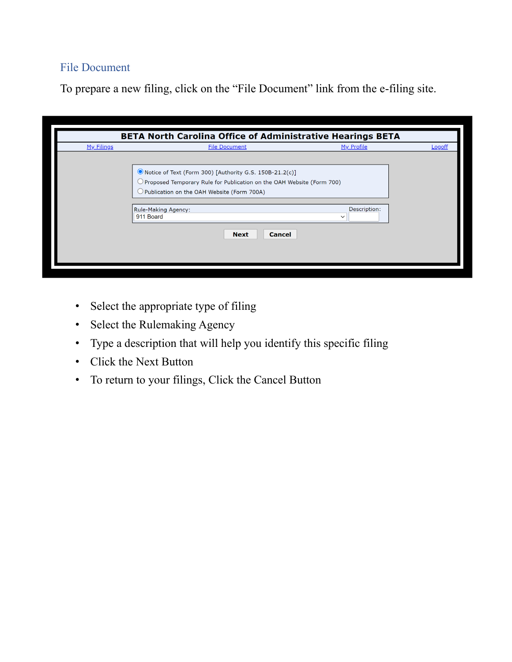# File Document

To prepare a new filing, click on the "File Document" link from the e-filing site.

|                   | BETA North Carolina Office of Administrative Hearings BETA                                                                                                                                                                                                                 |                            |               |
|-------------------|----------------------------------------------------------------------------------------------------------------------------------------------------------------------------------------------------------------------------------------------------------------------------|----------------------------|---------------|
| <u>My Filings</u> | <b>File Document</b>                                                                                                                                                                                                                                                       | My Profile                 | <b>Logoff</b> |
|                   | O Notice of Text (Form 300) [Authority G.S. 150B-21.2(c)]<br>$\supset$ Proposed Temporary Rule for Publication on the OAH Website (Form 700).<br>$\bigcirc$ Publication on the OAH Website (Form 700A)<br>Rule-Making Agency:<br>911 Board<br><b>Cancel</b><br><b>Next</b> | Description:<br>$\check{}$ |               |

- Select the appropriate type of filing
- Select the Rulemaking Agency
- Type a description that will help you identify this specific filing
- Click the Next Button
- To return to your filings, Click the Cancel Button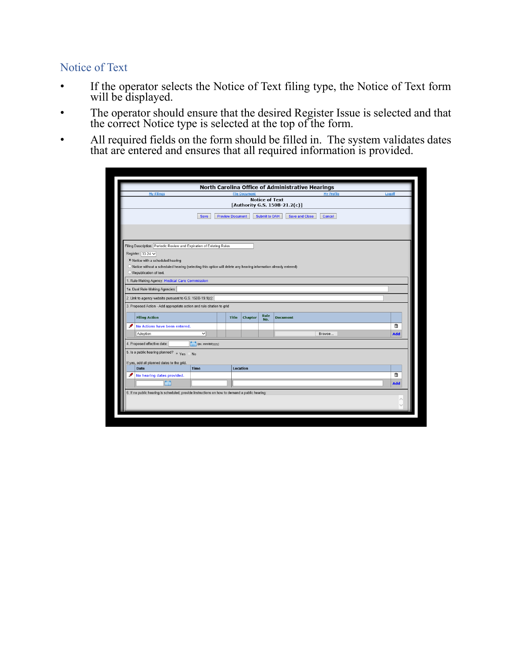# Notice of Text

- If the operator selects the Notice of Text filing type, the Notice of Text form will be displayed.
- The operator should ensure that the desired Register Issue is selected and that the correct Notice type is selected at the top of the form.
- All required fields on the form should be filled in. The system validates dates that are entered and ensures that all required information is provided.

|                                                                                                                                            |                         |                         | <b>File Document</b> |                       |                               | North Carolina Office of Administrative Hearings<br><b>My Profile</b> | Logoff |
|--------------------------------------------------------------------------------------------------------------------------------------------|-------------------------|-------------------------|----------------------|-----------------------|-------------------------------|-----------------------------------------------------------------------|--------|
| <b>My Filings</b>                                                                                                                          |                         |                         |                      | <b>Notice of Text</b> |                               |                                                                       |        |
|                                                                                                                                            |                         |                         |                      |                       | [Authority G.S. 150B-21.2(c)] |                                                                       |        |
|                                                                                                                                            |                         |                         |                      |                       |                               |                                                                       |        |
|                                                                                                                                            | <b>Save</b>             | <b>Preview Document</b> |                      | <b>Submit to OAH</b>  | <b>Save and Close</b>         | Cancel                                                                |        |
|                                                                                                                                            |                         |                         |                      |                       |                               |                                                                       |        |
|                                                                                                                                            |                         |                         |                      |                       |                               |                                                                       |        |
|                                                                                                                                            |                         |                         |                      |                       |                               |                                                                       |        |
| Filing Description: Periodic Review and Expiration of Existing Rules                                                                       |                         |                         |                      |                       |                               |                                                                       |        |
| Register: $33:24 \checkmark$                                                                                                               |                         |                         |                      |                       |                               |                                                                       |        |
| . Notice with a scheduled hearing                                                                                                          |                         |                         |                      |                       |                               |                                                                       |        |
| O Notice without a scheduled hearing (selecting this option will delete any hearing information already entered)<br>Republication of text. |                         |                         |                      |                       |                               |                                                                       |        |
|                                                                                                                                            |                         |                         |                      |                       |                               |                                                                       |        |
| 1. Rule-Making Agency: Medical Care Commission                                                                                             |                         |                         |                      |                       |                               |                                                                       |        |
| 1a. Dual Rule-Making Agencies:                                                                                                             |                         |                         |                      |                       |                               |                                                                       |        |
| 2. Link to agency website pursuant to G.S. 150B-19.1(c):                                                                                   |                         |                         |                      |                       |                               |                                                                       |        |
| 3. Proposed Action - Add appropriate action and rule citation to grid                                                                      |                         |                         |                      |                       |                               |                                                                       |        |
|                                                                                                                                            |                         |                         |                      | <b>Rule</b>           |                               |                                                                       |        |
|                                                                                                                                            |                         | <b>Title</b>            | <b>Chapter</b>       | No.                   | <b>Document</b>               |                                                                       |        |
| <b>Filing Action</b>                                                                                                                       |                         |                         |                      |                       |                               |                                                                       | û      |
| ℐ<br>No Actions have been entered.                                                                                                         |                         |                         |                      |                       |                               |                                                                       |        |
| Adoption                                                                                                                                   | $\overline{\mathsf{v}}$ |                         |                      |                       |                               | Browse                                                                | Add    |
|                                                                                                                                            |                         |                         |                      |                       |                               |                                                                       |        |
| 4. Proposed effective date:                                                                                                                | (ex. mm/dd/yyyy)        |                         |                      |                       |                               |                                                                       |        |
| 5. Is a public hearing planned? $\bullet$ Yes                                                                                              | No                      |                         |                      |                       |                               |                                                                       |        |
| If yes, add all planned dates to the grid.                                                                                                 |                         |                         |                      |                       |                               |                                                                       |        |
| <b>Date</b>                                                                                                                                | <b>Time</b>             |                         | Location             |                       |                               |                                                                       |        |
| ℐ<br>No hearing dates provided.                                                                                                            |                         |                         |                      |                       |                               |                                                                       | ū      |
| 面                                                                                                                                          |                         |                         |                      |                       |                               |                                                                       | Add    |
|                                                                                                                                            |                         |                         |                      |                       |                               |                                                                       |        |
| 6. If no public hearing is scheduled, provide instructions on how to demand a public hearing:                                              |                         |                         |                      |                       |                               |                                                                       |        |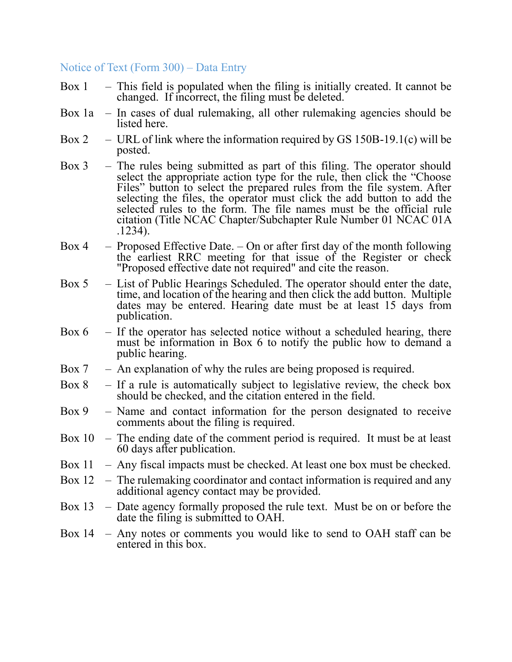#### Notice of Text (Form 300) – Data Entry

- Box  $1 -$  This field is populated when the filing is initially created. It cannot be changed. If incorrect, the filing must be deleted.
- Box 1a In cases of dual rulemaking, all other rulemaking agencies should be listed here.
- Box 2 URL of link where the information required by GS 150B-19.1(c) will be posted.
- Box 3 The rules being submitted as part of this filing. The operator should select the appropriate action type for the rule, then click the "Choose" Files" button to select the prepared rules from the file system. After selecting the files, the operator must click the add button to add the selected rules to the form. The file names must be the official rule citation (Title NCAC Chapter/Subchapter Rule Number 01 NCAC 01A .1234).
- Box 4 Proposed Effective Date.  $-$  On or after first day of the month following the earliest RRC meeting for that issue of the Register or check "Proposed effective date not required" and cite the reason.
- Box 5 List of Public Hearings Scheduled. The operator should enter the date, time, and location of the hearing and then click the add button. Multiple dates may be entered. Hearing date must be at least 15 days from publication.
- Box  $6 If$  the operator has selected notice without a scheduled hearing, there must be information in Box 6 to notify the public how to demand a public hearing.
- Box  $7 A$ n explanation of why the rules are being proposed is required.
- Box 8 If a rule is automatically subject to legislative review, the check box should be checked, and the citation entered in the field.
- Box 9 Name and contact information for the person designated to receive comments about the filing is required.
- Box 10 The ending date of the comment period is required. It must be at least 60 days after publication.
- Box  $11$  Any fiscal impacts must be checked. At least one box must be checked.
- Box 12 The rulemaking coordinator and contact information is required and any additional agency contact may be provided.
- Box 13 Date agency formally proposed the rule text. Must be on or before the date the filing is submitted to OAH.
- Box 14 Any notes or comments you would like to send to OAH staff can be entered in this box.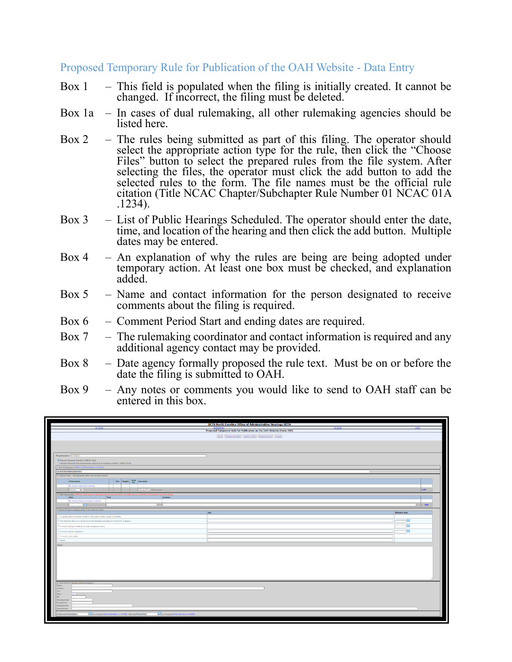Proposed Temporary Rule for Publication of the OAH Website - Data Entry

- Box  $1 -$  This field is populated when the filing is initially created. It cannot be changed. If incorrect, the filing must be deleted.
- Box 1a In cases of dual rulemaking, all other rulemaking agencies should be listed here.
- Box 2 The rules being submitted as part of this filing. The operator should select the appropriate action type for the rule, then click the "Choose" Files" button to select the prepared rules from the file system. After selecting the files, the operator must click the add button to add the selected rules to the form. The file names must be the official rule citation (Title NCAC Chapter/Subchapter Rule Number 01 NCAC 01A .1234).
- Box 3 List of Public Hearings Scheduled. The operator should enter the date, time, and location of the hearing and then click the add button. Multiple dates may be entered.
- Box 4 An explanation of why the rules are being are being adopted under temporary action. At least one box must be checked, and explanation added.
- Box 5 Name and contact information for the person designated to receive comments about the filing is required.
- Box 6 Comment Period Start and ending dates are required.
- Box 7 The rulemaking coordinator and contact information is required and any additional agency contact may be provided.
- Box 8 Date agency formally proposed the rule text. Must be on or before the date the filing is submitted to OAH.
- Box 9 Any notes or comments you would like to send to OAH staff can be entered in this box.

|                                   |                                                                                                                                                         |      |  |                                                                          |                                        | BETA North Carolina Office of Administrative Hearings BETA                          |                       |     |
|-----------------------------------|---------------------------------------------------------------------------------------------------------------------------------------------------------|------|--|--------------------------------------------------------------------------|----------------------------------------|-------------------------------------------------------------------------------------|-----------------------|-----|
|                                   | My Films                                                                                                                                                |      |  |                                                                          |                                        | Ny Profile<br>Proposed Temporary Rule for Publication on the OAH Website (Form 700) |                       |     |
|                                   |                                                                                                                                                         |      |  |                                                                          |                                        | Save Preview Document   Submitto OAH   Save and Close   Cancel                      |                       |     |
|                                   |                                                                                                                                                         |      |  |                                                                          |                                        |                                                                                     |                       |     |
|                                   |                                                                                                                                                         |      |  |                                                                          |                                        |                                                                                     |                       |     |
|                                   | Filing Description: [11/12/2022                                                                                                                         |      |  |                                                                          |                                        |                                                                                     |                       |     |
|                                   | <sup>8</sup> Proposed Temporary Rule (G.S. 1508-21.1(x3))<br>O Proposed Temporary Rule simultaneously adopted as an emergency rule [G.S. 150B-21.1A(a)] |      |  |                                                                          |                                        |                                                                                     |                       |     |
|                                   | 1. Rule-Making Agency: Office of Administrative Hearings                                                                                                |      |  |                                                                          |                                        |                                                                                     |                       |     |
|                                   | 1a. Dual Rule-Making Agencies:                                                                                                                          |      |  |                                                                          |                                        |                                                                                     |                       |     |
|                                   | 2. Proposed Action - Add appropriate action and rule obstion to grid                                                                                    |      |  |                                                                          |                                        |                                                                                     |                       |     |
|                                   | <b>Filing Action</b>                                                                                                                                    |      |  | Title Chapter Rule Document                                              |                                        |                                                                                     |                       |     |
|                                   | No Actions have been entered<br>Maglian V                                                                                                               |      |  | Choose Film No Se shown                                                  |                                        |                                                                                     |                       | Add |
|                                   | 3. Public hearing dates: QAH has 5 business days to proce                                                                                               |      |  |                                                                          |                                        |                                                                                     |                       |     |
|                                   | Date                                                                                                                                                    | Time |  |                                                                          | Location                               |                                                                                     |                       |     |
|                                   | No Hearing Dates have been entered.                                                                                                                     |      |  |                                                                          |                                        |                                                                                     |                       |     |
|                                   | <b>TES</b>                                                                                                                                              |      |  |                                                                          |                                        |                                                                                     |                       | Add |
|                                   | 4. Reason for agency adapting rule(s) under temporary action:                                                                                           |      |  |                                                                          |                                        | <b>ate</b>                                                                          | <b>Effective Date</b> |     |
|                                   | $\Box$ A serious and unforeseen threat to the public health, safety or welfare.                                                                         |      |  |                                                                          |                                        |                                                                                     |                       |     |
|                                   | 17 The effective date of a recent act of the General Assembly or of the U.S. Congress.                                                                  |      |  |                                                                          |                                        |                                                                                     | -dat                  |     |
|                                   | C A recent change in federal or state budgetary policy.                                                                                                 |      |  |                                                                          |                                        |                                                                                     | ٦m                    |     |
|                                   | C A recent federal regulation.                                                                                                                          |      |  |                                                                          |                                        |                                                                                     | ntit                  |     |
|                                   | A recent court order.                                                                                                                                   |      |  |                                                                          |                                        |                                                                                     |                       |     |
| D other.                          |                                                                                                                                                         |      |  |                                                                          |                                        |                                                                                     |                       |     |
| Euston                            |                                                                                                                                                         |      |  |                                                                          |                                        |                                                                                     |                       |     |
|                                   |                                                                                                                                                         |      |  |                                                                          |                                        |                                                                                     |                       |     |
|                                   |                                                                                                                                                         |      |  |                                                                          |                                        |                                                                                     |                       |     |
|                                   |                                                                                                                                                         |      |  |                                                                          |                                        |                                                                                     |                       |     |
|                                   |                                                                                                                                                         |      |  |                                                                          |                                        |                                                                                     |                       |     |
|                                   |                                                                                                                                                         |      |  |                                                                          |                                        |                                                                                     |                       |     |
|                                   |                                                                                                                                                         |      |  |                                                                          |                                        |                                                                                     |                       |     |
|                                   |                                                                                                                                                         |      |  |                                                                          |                                        |                                                                                     |                       |     |
|                                   | 5. Comments from the public shall be directed to:                                                                                                       |      |  |                                                                          |                                        |                                                                                     |                       |     |
| Name:<br><b>Address:</b>          |                                                                                                                                                         |      |  |                                                                          |                                        |                                                                                     |                       |     |
| City:                             | <b>Last</b>                                                                                                                                             |      |  |                                                                          |                                        |                                                                                     |                       |     |
| Gtate:<br>Zip:                    |                                                                                                                                                         |      |  |                                                                          |                                        |                                                                                     |                       |     |
| Phone(splonal):<br>Fax(optional): |                                                                                                                                                         |      |  |                                                                          |                                        |                                                                                     |                       |     |
| oMal(optenal):                    |                                                                                                                                                         |      |  |                                                                          |                                        |                                                                                     |                       |     |
| Nete(aptional):                   |                                                                                                                                                         |      |  |                                                                          |                                        |                                                                                     |                       |     |
| 6. Comment Period Starts          |                                                                                                                                                         |      |  | [11] Joc messiyyya Earliest Start Date is 1/12/2022 Convent Period Ends. | sk. mission Carles End Date is 2/32022 |                                                                                     |                       |     |
|                                   |                                                                                                                                                         |      |  |                                                                          |                                        |                                                                                     |                       |     |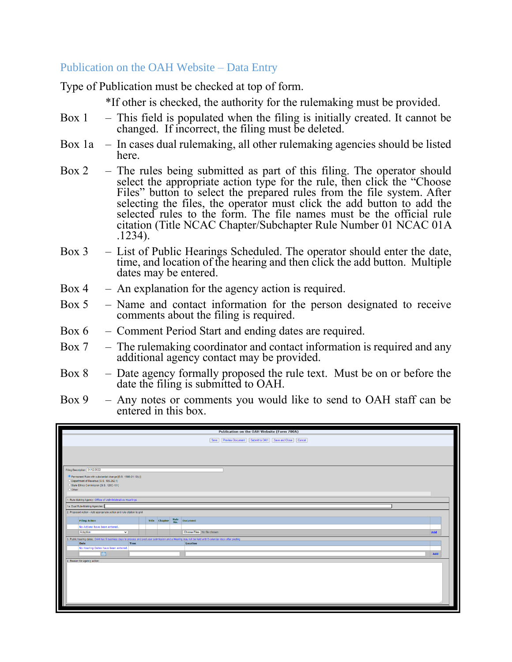## Publication on the OAH Website – Data Entry

Type of Publication must be checked at top of form.

\*If other is checked, the authority for the rulemaking must be provided.

- Box  $1 -$  This field is populated when the filing is initially created. It cannot be changed. If incorrect, the filing must be deleted.
- Box 1a In cases dual rulemaking, all other rulemaking agencies should be listed here.
- Box 2 The rules being submitted as part of this filing. The operator should select the appropriate action type for the rule, then click the "Choose Files" button to select the prepared rules from the file system. After selecting the files, the operator must click the add button to add the selected rules to the form. The file names must be the official rule citation (Title NCAC Chapter/Subchapter Rule Number 01 NCAC 01A .1234).
- Box 3 List of Public Hearings Scheduled. The operator should enter the date, time, and location of the hearing and then click the add button. Multiple dates may be entered.
- Box  $4 A$ n explanation for the agency action is required.
- Box 5 Name and contact information for the person designated to receive comments about the filing is required.
- Box 6 Comment Period Start and ending dates are required.
- Box  $7 -$  The rulemaking coordinator and contact information is required and any additional agency contact may be provided.
- Box 8 Date agency formally proposed the rule text. Must be on or before the date the filing is submitted to OAH.
- Box 9 Any notes or comments you would like to send to OAH staff can be entered in this box.

|                                                                                                                                                        |             | Publication on the OAH Website (Form 700A)                        |     |
|--------------------------------------------------------------------------------------------------------------------------------------------------------|-------------|-------------------------------------------------------------------|-----|
|                                                                                                                                                        |             | Save   Preview Document   Submit to OAH   Save and Close   Cancel |     |
|                                                                                                                                                        |             |                                                                   |     |
|                                                                                                                                                        |             |                                                                   |     |
| Filing Description: 01/12/2022                                                                                                                         |             |                                                                   |     |
| Permanent Rule with substantial change [G.S. 150B-21.12(c)]                                                                                            |             |                                                                   |     |
| O Department of Revenue [G.S. 105-262.1]                                                                                                               |             |                                                                   |     |
| O State Ethics Commission [G.S. 120C-101]                                                                                                              |             |                                                                   |     |
| Other:                                                                                                                                                 |             |                                                                   |     |
| 1. Rule-Making Agency: Office of Administrative Hearings                                                                                               |             |                                                                   |     |
| 1a. Dual Rule-Making Agencies:                                                                                                                         |             |                                                                   |     |
| 2. Proposed Action - Add appropriate action and rule citation to grid                                                                                  |             |                                                                   |     |
|                                                                                                                                                        |             |                                                                   |     |
| Title Chapter<br><b>Filing Action</b>                                                                                                                  | Rule<br>No. | <b>Document</b>                                                   |     |
| No Actions have been entered.                                                                                                                          |             |                                                                   |     |
| ◡<br>Adoption                                                                                                                                          |             | Choose Files No file chosen                                       | Add |
| 3. Public hearing dates: OAH has 5 business days to process and post your submission and a Hearing may not be held until 5 calendar days after posting |             |                                                                   |     |
| Time<br>Date                                                                                                                                           |             | Location                                                          |     |
| No Hearing Dates have been entered.                                                                                                                    |             |                                                                   |     |
| <b>Ifinit</b>                                                                                                                                          |             |                                                                   | Add |
| 4. Reason for agency action:                                                                                                                           |             |                                                                   |     |
|                                                                                                                                                        |             |                                                                   |     |
|                                                                                                                                                        |             |                                                                   |     |
|                                                                                                                                                        |             |                                                                   |     |
|                                                                                                                                                        |             |                                                                   |     |
|                                                                                                                                                        |             |                                                                   |     |
|                                                                                                                                                        |             |                                                                   |     |
|                                                                                                                                                        |             |                                                                   |     |
|                                                                                                                                                        |             |                                                                   |     |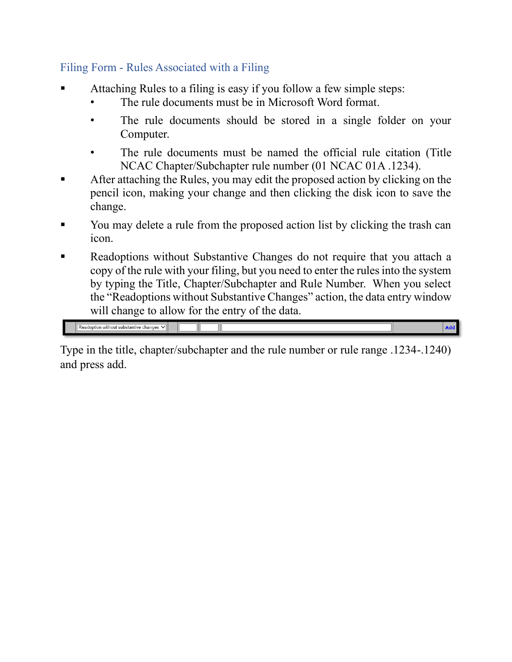# Filing Form - Rules Associated with a Filing

- Attaching Rules to a filing is easy if you follow a few simple steps:
	- The rule documents must be in Microsoft Word format.
	- The rule documents should be stored in a single folder on your Computer.
	- The rule documents must be named the official rule citation (Title) NCAC Chapter/Subchapter rule number (01 NCAC 01A .1234).
- After attaching the Rules, you may edit the proposed action by clicking on the pencil icon, making your change and then clicking the disk icon to save the change.
- You may delete a rule from the proposed action list by clicking the trash can icon.
- Readoptions without Substantive Changes do not require that you attach a copy of the rule with your filing, but you need to enter the rules into the system by typing the Title, Chapter/Subchapter and Rule Number. When you select the "Readoptions without Substantive Changes" action, the data entry window will change to allow for the entry of the data.

 $\sqrt{\sqrt{\frac{3}{1}}\sqrt{\frac{1}{1}}\sqrt{\frac{1}{1}}}}$  Readoption without substantive changes  $\sqrt{\sqrt{\frac{1}{1}}\sqrt{\frac{1}{1}}}}$ 

Type in the title, chapter/subchapter and the rule number or rule range .1234-.1240) and press add.

Add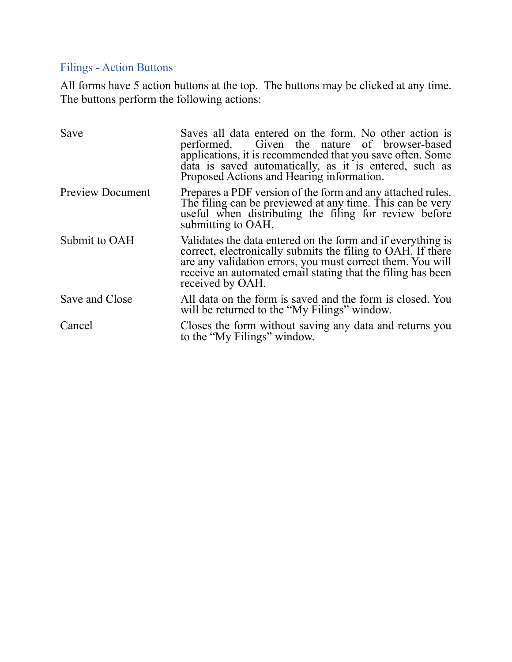# Filings - Action Buttons

All forms have 5 action buttons at the top. The buttons may be clicked at any time. The buttons perform the following actions:

| Save                    | Saves all data entered on the form. No other action is<br>performed. Given the nature of browser-based<br>applications, it is recommended that you save often. Some<br>data is saved automatically, as it is entered, such as<br>Proposed Actions and Hearing information.  |
|-------------------------|-----------------------------------------------------------------------------------------------------------------------------------------------------------------------------------------------------------------------------------------------------------------------------|
| <b>Preview Document</b> | Prepares a PDF version of the form and any attached rules.<br>The filing can be previewed at any time. This can be very<br>useful when distributing the filing for review before<br>submitting to OAH.                                                                      |
| Submit to OAH           | Validates the data entered on the form and if everything is<br>correct, electronically submits the filing to OAH. If there<br>are any validation errors, you must correct them. You will<br>receive an automated email stating that the filing has been<br>received by OAH. |
| Save and Close          | All data on the form is saved and the form is closed. You<br>will be returned to the "My Filings" window.                                                                                                                                                                   |
| Cancel                  | Closes the form without saving any data and returns you<br>to the "My Filings" window.                                                                                                                                                                                      |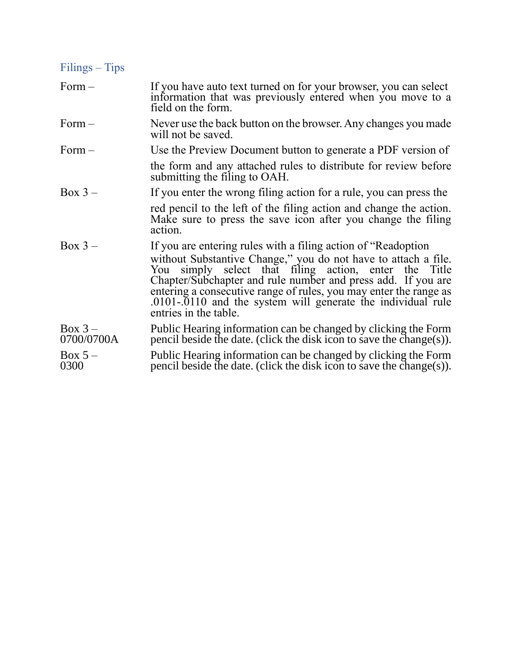| $Filings - Tips$        |                                                                                                                                                                                                                                                                                                                                                          |
|-------------------------|----------------------------------------------------------------------------------------------------------------------------------------------------------------------------------------------------------------------------------------------------------------------------------------------------------------------------------------------------------|
| $Form-$                 | If you have auto text turned on for your browser, you can select<br>information that was previously entered when you move to a<br>field on the form.                                                                                                                                                                                                     |
| $Form-$                 | Never use the back button on the browser. Any changes you made<br>will not be saved.                                                                                                                                                                                                                                                                     |
| $Form-$                 | Use the Preview Document button to generate a PDF version of                                                                                                                                                                                                                                                                                             |
|                         | the form and any attached rules to distribute for review before<br>submitting the filing to OAH.                                                                                                                                                                                                                                                         |
| $Box 3 -$               | If you enter the wrong filing action for a rule, you can press the                                                                                                                                                                                                                                                                                       |
|                         | red pencil to the left of the filing action and change the action.<br>Make sure to press the save icon after you change the filing<br>action.                                                                                                                                                                                                            |
| $Box 3 -$               | If you are entering rules with a filing action of "Readoption"                                                                                                                                                                                                                                                                                           |
|                         | without Substantive Change," you do not have to attach a file.<br>simply select that filing action, enter the Title<br>You<br>Chapter/Subchapter and rule number and press add. If you are<br>entering a consecutive range of rules, you may enter the range as<br>.0101-.0110 and the system will generate the individual rule<br>entries in the table. |
| $Box 3 -$<br>0700/0700A | Public Hearing information can be changed by clicking the Form<br>pencil beside the date. (click the disk icon to save the change(s)).                                                                                                                                                                                                                   |
| $Box 5 -$<br>0300       | Public Hearing information can be changed by clicking the Form<br>pencil beside the date. (click the disk icon to save the change(s)).                                                                                                                                                                                                                   |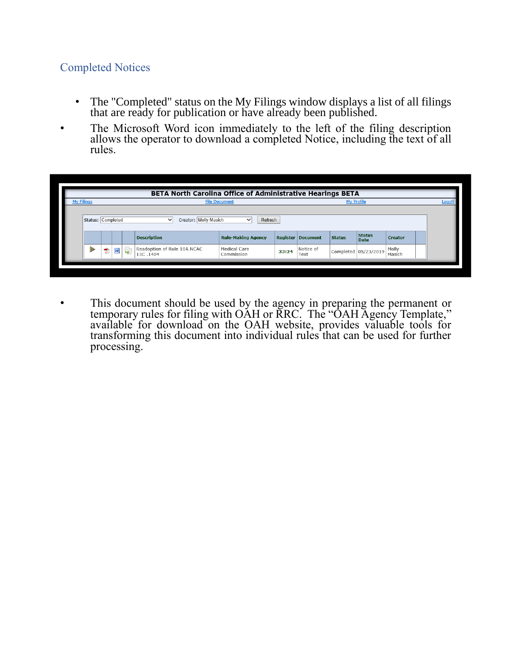## Completed Notices

- The "Completed" status on the My Filings window displays a list of all filings that are ready for publication or have already been published.
- The Microsoft Word icon immediately to the left of the filing description allows the operator to download a completed Notice, including the text of all rules.

|                   |                      |   |              | <b>BETA North Carolina Office of Administrative Hearings BETA</b> |                                                      |       |                          |                   |                              |                 |               |
|-------------------|----------------------|---|--------------|-------------------------------------------------------------------|------------------------------------------------------|-------|--------------------------|-------------------|------------------------------|-----------------|---------------|
| <b>My Filings</b> | <b>File Document</b> |   |              |                                                                   |                                                      |       |                          | <b>My Profile</b> |                              |                 | <b>Logoff</b> |
| Status: Completed |                      |   |              | Creator: Molly Masich<br>$\check{ }$<br><b>Description</b>        | Refresh<br>$\checkmark$<br><b>Rule-Making Agency</b> |       | <b>Register Document</b> | <b>Status</b>     | <b>Status</b><br><b>Date</b> | <b>Creator</b>  |               |
| ь                 | 快                    | W | $\mathbf{G}$ | Readoption of Rule 10A NCAC<br>13C .1404                          | Medical Care<br>Commission                           | 33:24 | Notice of<br>Text        |                   | Completed 05/23/2019         | Molly<br>Masich |               |

• This document should be used by the agency in preparing the permanent or temporary rules for filing with OAH or RRC. The "OAH Agency Template," available for download on the OAH website, provides valuable tools for transforming this document into individual rules that can be used for further processing.